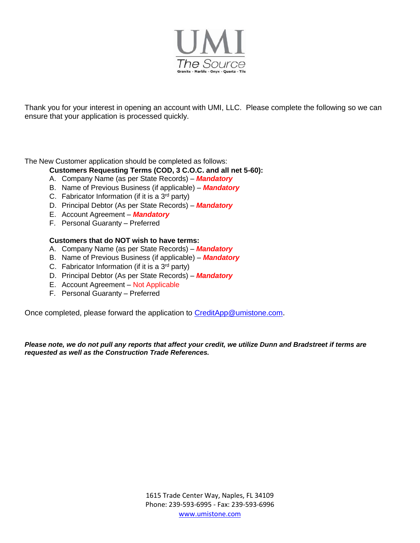

Thank you for your interest in opening an account with UMI, LLC. Please complete the following so we can ensure that your application is processed quickly.

The New Customer application should be completed as follows:

**Customers Requesting Terms (COD, 3 C.O.C. and all net 5-60):**

- A. Company Name (as per State Records) *Mandatory*
- B. Name of Previous Business (if applicable) *Mandatory*
- C. Fabricator Information (if it is a  $3<sup>rd</sup>$  party)
- D. Principal Debtor (As per State Records) *Mandatory*
- E. Account Agreement *Mandatory*
- F. Personal Guaranty Preferred

## **Customers that do NOT wish to have terms:**

- A. Company Name (as per State Records) *Mandatory*
- B. Name of Previous Business (if applicable) *Mandatory*
- C. Fabricator Information (if it is a  $3<sup>rd</sup>$  party)
- D. Principal Debtor (As per State Records) *Mandatory*
- E. Account Agreement Not Applicable
- F. Personal Guaranty Preferred

Once completed, please forward the application to [CreditApp@umistone.com](mailto:CreditApp@umistone.com).

*Please note, we do not pull any reports that affect your credit, we utilize Dunn and Bradstreet if terms are requested as well as the Construction Trade References.*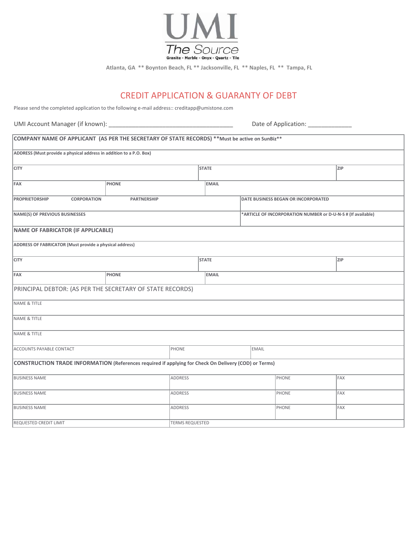

**Atlanta, GA \*\* Boynton Beach, FL \*\* Jacksonville, FL \*\* Naples, FL \*\* Tampa, FL**

# CREDIT APPLICATION & GUARANTY OF DEBT

Please send the completed application to the following e-mail address:: creditapp@umistone.com

UMI Account Manager (if known): \_\_\_\_\_\_\_\_\_\_\_\_\_\_\_\_\_\_\_\_\_\_\_\_\_\_\_\_\_\_\_\_\_\_\_\_\_ Date of Application: \_\_\_\_\_\_\_\_\_\_\_\_\_

| COMPANY NAME OF APPLICANT (AS PER THE SECRETARY OF STATE RECORDS) ** Must be active on SunBiz**       |              |                        |                                                              |                                     |              |              |     |            |
|-------------------------------------------------------------------------------------------------------|--------------|------------------------|--------------------------------------------------------------|-------------------------------------|--------------|--------------|-----|------------|
| ADDRESS (Must provide a physical address in addition to a P.O. Box)                                   |              |                        |                                                              |                                     |              |              |     |            |
| <b>CITY</b>                                                                                           |              |                        | <b>STATE</b>                                                 |                                     |              |              |     | <b>ZIP</b> |
| FAX                                                                                                   | <b>PHONE</b> |                        | <b>EMAIL</b>                                                 |                                     |              |              |     |            |
| <b>PROPRIETORSHIP</b><br><b>PARTNERSHIP</b><br><b>CORPORATION</b>                                     |              |                        |                                                              | DATE BUSINESS BEGAN OR INCORPORATED |              |              |     |            |
| NAME(S) OF PREVIOUS BUSINESSES                                                                        |              |                        | *ARTICLE OF INCORPORATION NUMBER or D-U-N-S # (If available) |                                     |              |              |     |            |
| NAME OF FABRICATOR (IF APPLICABLE)                                                                    |              |                        |                                                              |                                     |              |              |     |            |
| ADDRESS OF FABRICATOR (Must provide a physical address)                                               |              |                        |                                                              |                                     |              |              |     |            |
| <b>CITY</b>                                                                                           |              |                        |                                                              | <b>STATE</b>                        |              |              | ZIP |            |
| FAX                                                                                                   | <b>PHONE</b> |                        |                                                              | <b>EMAIL</b>                        |              |              |     |            |
| PRINCIPAL DEBTOR: (AS PER THE SECRETARY OF STATE RECORDS)                                             |              |                        |                                                              |                                     |              |              |     |            |
| NAME & TITLE                                                                                          |              |                        |                                                              |                                     |              |              |     |            |
| NAME & TITLE                                                                                          |              |                        |                                                              |                                     |              |              |     |            |
| NAME & TITLE                                                                                          |              |                        |                                                              |                                     |              |              |     |            |
| <b>ACCOUNTS PAYABLE CONTACT</b>                                                                       |              | PHONE                  |                                                              |                                     | <b>EMAIL</b> |              |     |            |
| CONSTRUCTION TRADE INFORMATION (References required if applying for Check On Delivery (COD) or Terms) |              |                        |                                                              |                                     |              |              |     |            |
| <b>BUSINESS NAME</b><br>ADDRESS                                                                       |              |                        |                                                              |                                     |              | PHONE        |     | FAX        |
| <b>BUSINESS NAME</b><br><b>ADDRESS</b>                                                                |              |                        |                                                              |                                     |              | <b>PHONE</b> |     | FAX        |
| <b>BUSINESS NAME</b>                                                                                  |              |                        | ADDRESS                                                      |                                     |              | PHONE        |     | FAX        |
| <b>REQUESTED CREDIT LIMIT</b>                                                                         |              | <b>TERMS REQUESTED</b> |                                                              |                                     |              |              |     |            |